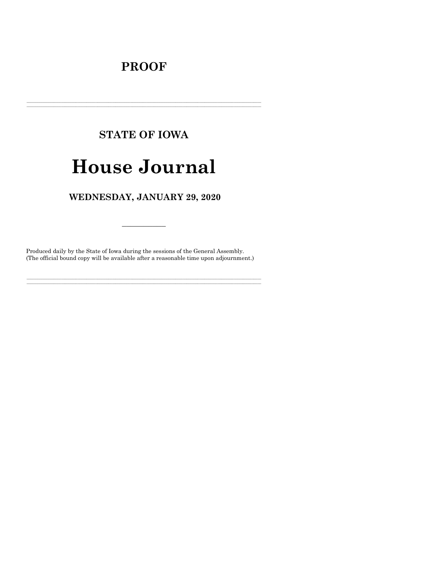# **PROOF**

# **STATE OF IOWA**

# **House Journal**

# WEDNESDAY, JANUARY 29, 2020

Produced daily by the State of Iowa during the sessions of the General Assembly. (The official bound copy will be available after a reasonable time upon adjournment.)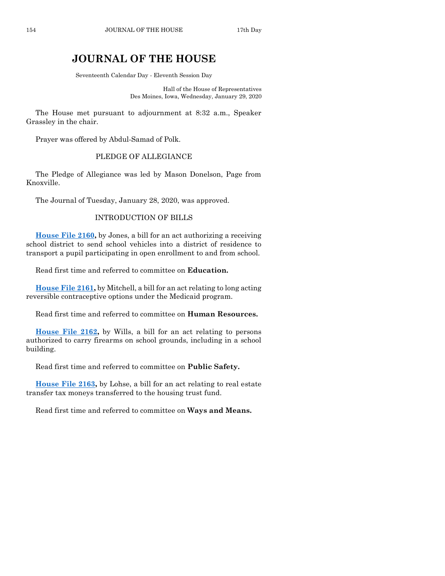# **JOURNAL OF THE HOUSE**

Seventeenth Calendar Day - Eleventh Session Day

Hall of the House of Representatives Des Moines, Iowa, Wednesday, January 29, 2020

The House met pursuant to adjournment at 8:32 a.m., Speaker Grassley in the chair.

Prayer was offered by Abdul-Samad of Polk.

# PLEDGE OF ALLEGIANCE

The Pledge of Allegiance was led by Mason Donelson, Page from Knoxville.

The Journal of Tuesday, January 28, 2020, was approved.

# INTRODUCTION OF BILLS

**[House File 2160,](https://www.legis.iowa.gov/legislation/BillBook?ga=88&ba=HF2160)** by Jones, a bill for an act authorizing a receiving school district to send school vehicles into a district of residence to transport a pupil participating in open enrollment to and from school.

Read first time and referred to committee on **Education.**

**[House File 2161,](https://www.legis.iowa.gov/legislation/BillBook?ga=88&ba=HF2161)** by Mitchell, a bill for an act relating to long acting reversible contraceptive options under the Medicaid program.

Read first time and referred to committee on **Human Resources.**

**[House File 2162,](https://www.legis.iowa.gov/legislation/BillBook?ga=88&ba=HF2162)** by Wills, a bill for an act relating to persons authorized to carry firearms on school grounds, including in a school building.

Read first time and referred to committee on **Public Safety.**

**[House File 2163,](https://www.legis.iowa.gov/legislation/BillBook?ga=88&ba=HF2163)** by Lohse, a bill for an act relating to real estate transfer tax moneys transferred to the housing trust fund.

Read first time and referred to committee on **Ways and Means.**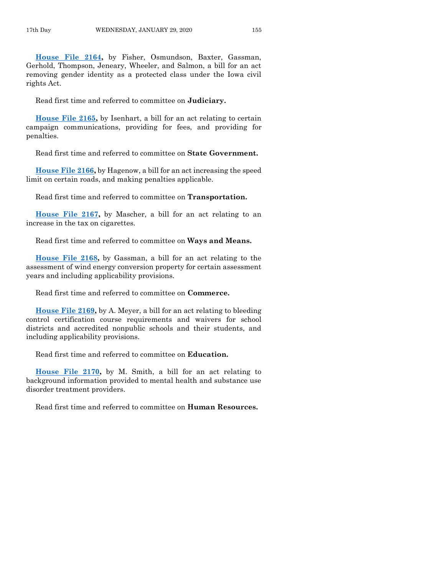**[House File 2164,](https://www.legis.iowa.gov/legislation/BillBook?ga=88&ba=HF2164)** by Fisher, Osmundson, Baxter, Gassman, Gerhold, Thompson, Jeneary, Wheeler, and Salmon, a bill for an act removing gender identity as a protected class under the Iowa civil rights Act.

Read first time and referred to committee on **Judiciary.**

**[House File 2165,](https://www.legis.iowa.gov/legislation/BillBook?ga=88&ba=HF2165)** by Isenhart, a bill for an act relating to certain campaign communications, providing for fees, and providing for penalties.

Read first time and referred to committee on **State Government.**

**[House File 2166,](https://www.legis.iowa.gov/legislation/BillBook?ga=88&ba=HF2166)** by Hagenow, a bill for an act increasing the speed limit on certain roads, and making penalties applicable.

Read first time and referred to committee on **Transportation.**

**[House File 2167,](https://www.legis.iowa.gov/legislation/BillBook?ga=88&ba=HF2167)** by Mascher, a bill for an act relating to an increase in the tax on cigarettes.

Read first time and referred to committee on **Ways and Means.**

**[House File 2168,](https://www.legis.iowa.gov/legislation/BillBook?ga=88&ba=HF2168)** by Gassman, a bill for an act relating to the assessment of wind energy conversion property for certain assessment years and including applicability provisions.

Read first time and referred to committee on **Commerce.**

**[House File 2169,](https://www.legis.iowa.gov/legislation/BillBook?ga=88&ba=HF2169)** by A. Meyer, a bill for an act relating to bleeding control certification course requirements and waivers for school districts and accredited nonpublic schools and their students, and including applicability provisions.

Read first time and referred to committee on **Education.**

**[House File 2170,](https://www.legis.iowa.gov/legislation/BillBook?ga=88&ba=HF2170)** by M. Smith, a bill for an act relating to background information provided to mental health and substance use disorder treatment providers.

Read first time and referred to committee on **Human Resources.**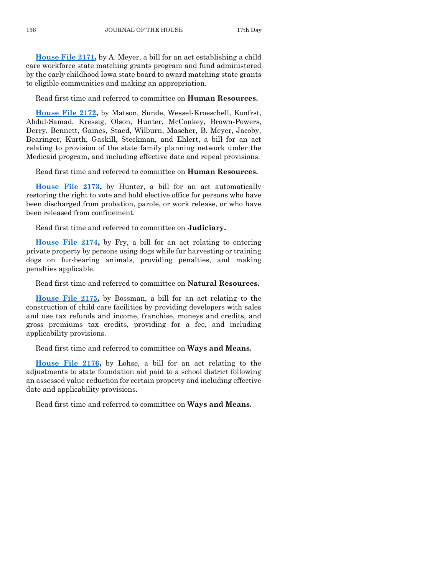**[House File 2171,](https://www.legis.iowa.gov/legislation/BillBook?ga=88&ba=HF2171)** by A. Meyer, a bill for an act establishing a child care workforce state matching grants program and fund administered by the early childhood Iowa state board to award matching state grants to eligible communities and making an appropriation.

Read first time and referred to committee on **Human Resources.**

**[House File 2172,](https://www.legis.iowa.gov/legislation/BillBook?ga=88&ba=HF2172)** by Matson, Sunde, Wessel-Kroeschell, Konfrst, Abdul-Samad, Kressig, Olson, Hunter, McConkey, Brown-Powers, Derry, Bennett, Gaines, Staed, Wilburn, Mascher, B. Meyer, Jacoby, Bearinger, Kurth, Gaskill, Steckman, and Ehlert, a bill for an act relating to provision of the state family planning network under the Medicaid program, and including effective date and repeal provisions.

Read first time and referred to committee on **Human Resources.**

**[House File 2173,](https://www.legis.iowa.gov/legislation/BillBook?ga=88&ba=HF2173)** by Hunter, a bill for an act automatically restoring the right to vote and hold elective office for persons who have been discharged from probation, parole, or work release, or who have been released from confinement.

Read first time and referred to committee on **Judiciary.**

**[House File 2174,](https://www.legis.iowa.gov/legislation/BillBook?ga=88&ba=HF2174)** by Fry, a bill for an act relating to entering private property by persons using dogs while fur harvesting or training dogs on fur-bearing animals, providing penalties, and making penalties applicable.

Read first time and referred to committee on **Natural Resources.**

**[House File 2175,](https://www.legis.iowa.gov/legislation/BillBook?ga=88&ba=HF2175)** by Bossman, a bill for an act relating to the construction of child care facilities by providing developers with sales and use tax refunds and income, franchise, moneys and credits, and gross premiums tax credits, providing for a fee, and including applicability provisions.

Read first time and referred to committee on **Ways and Means.**

**[House File 2176,](https://www.legis.iowa.gov/legislation/BillBook?ga=88&ba=HF2176)** by Lohse, a bill for an act relating to the adjustments to state foundation aid paid to a school district following an assessed value reduction for certain property and including effective date and applicability provisions.

Read first time and referred to committee on **Ways and Means.**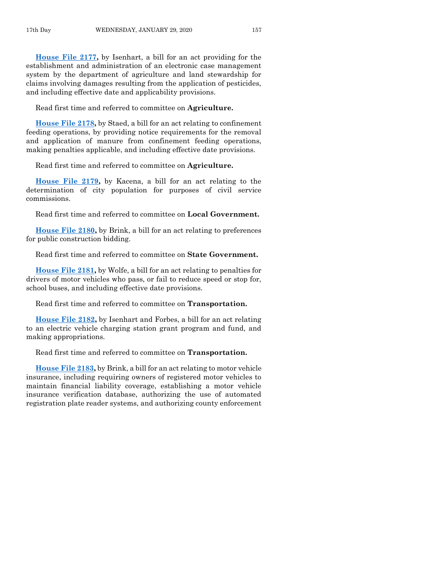**[House File 2177,](https://www.legis.iowa.gov/legislation/BillBook?ga=88&ba=HF2177)** by Isenhart, a bill for an act providing for the establishment and administration of an electronic case management system by the department of agriculture and land stewardship for claims involving damages resulting from the application of pesticides, and including effective date and applicability provisions.

Read first time and referred to committee on **Agriculture.**

**[House File 2178,](https://www.legis.iowa.gov/legislation/BillBook?ga=88&ba=HF2178)** by Staed, a bill for an act relating to confinement feeding operations, by providing notice requirements for the removal and application of manure from confinement feeding operations, making penalties applicable, and including effective date provisions.

Read first time and referred to committee on **Agriculture.**

**[House File 2179,](https://www.legis.iowa.gov/legislation/BillBook?ga=88&ba=HF2179)** by Kacena, a bill for an act relating to the determination of city population for purposes of civil service commissions.

Read first time and referred to committee on **Local Government.**

**[House File 2180,](https://www.legis.iowa.gov/legislation/BillBook?ga=88&ba=HF2180)** by Brink, a bill for an act relating to preferences for public construction bidding.

Read first time and referred to committee on **State Government.**

**[House File 2181,](https://www.legis.iowa.gov/legislation/BillBook?ga=88&ba=HF2181)** by Wolfe, a bill for an act relating to penalties for drivers of motor vehicles who pass, or fail to reduce speed or stop for, school buses, and including effective date provisions.

Read first time and referred to committee on **Transportation.**

**[House File 2182,](https://www.legis.iowa.gov/legislation/BillBook?ga=88&ba=HF2182)** by Isenhart and Forbes, a bill for an act relating to an electric vehicle charging station grant program and fund, and making appropriations.

Read first time and referred to committee on **Transportation.**

**[House File 2183,](https://www.legis.iowa.gov/legislation/BillBook?ga=88&ba=HF2183)** by Brink, a bill for an act relating to motor vehicle insurance, including requiring owners of registered motor vehicles to maintain financial liability coverage, establishing a motor vehicle insurance verification database, authorizing the use of automated registration plate reader systems, and authorizing county enforcement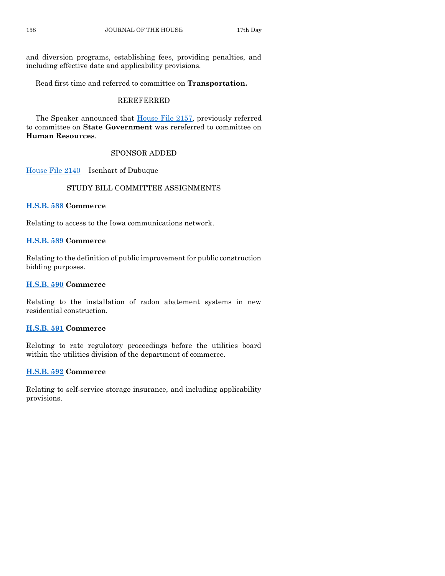and diversion programs, establishing fees, providing penalties, and including effective date and applicability provisions.

Read first time and referred to committee on **Transportation.**

# REREFERRED

The Speaker announced that [House File 2157,](https://www.legis.iowa.gov/legislation/BillBook?ga=88&ba=HF2157) previously referred to committee on **State Government** was rereferred to committee on **Human Resources**.

# SPONSOR ADDED

[House File 2140](https://www.legis.iowa.gov/legislation/BillBook?ga=88&ba=HF2140) – Isenhart of Dubuque

# STUDY BILL COMMITTEE ASSIGNMENTS

# **[H.S.B. 588](https://www.legis.iowa.gov/legislation/BillBook?ga=88&ba=HSB588) Commerce**

Relating to access to the Iowa communications network.

# **[H.S.B. 589](https://www.legis.iowa.gov/legislation/BillBook?ga=88&ba=HSB589) Commerce**

Relating to the definition of public improvement for public construction bidding purposes.

# **[H.S.B. 590](https://www.legis.iowa.gov/legislation/BillBook?ga=88&ba=HSB590) Commerce**

Relating to the installation of radon abatement systems in new residential construction.

# **[H.S.B. 591](https://www.legis.iowa.gov/legislation/BillBook?ga=88&ba=HSB591) Commerce**

Relating to rate regulatory proceedings before the utilities board within the utilities division of the department of commerce.

# **[H.S.B. 592](https://www.legis.iowa.gov/legislation/BillBook?ga=88&ba=HSB592) Commerce**

Relating to self-service storage insurance, and including applicability provisions.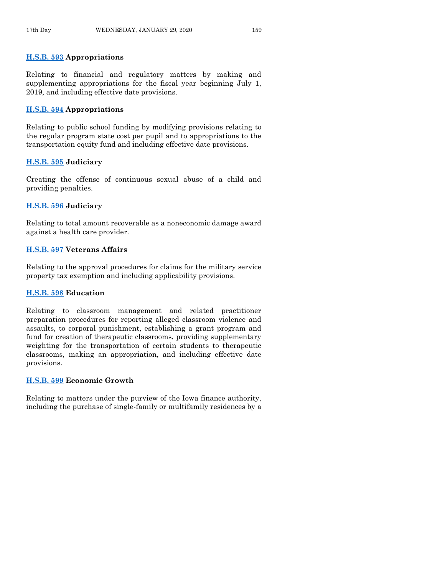# **[H.S.B. 593](https://www.legis.iowa.gov/legislation/BillBook?ga=88&ba=HSB593) Appropriations**

Relating to financial and regulatory matters by making and supplementing appropriations for the fiscal year beginning July 1, 2019, and including effective date provisions.

#### **[H.S.B. 594](https://www.legis.iowa.gov/legislation/BillBook?ga=88&ba=HSB594) Appropriations**

Relating to public school funding by modifying provisions relating to the regular program state cost per pupil and to appropriations to the transportation equity fund and including effective date provisions.

# **[H.S.B. 595](https://www.legis.iowa.gov/legislation/BillBook?ga=88&ba=HSB595) Judiciary**

Creating the offense of continuous sexual abuse of a child and providing penalties.

#### **[H.S.B. 596](https://www.legis.iowa.gov/legislation/BillBook?ga=88&ba=HSB596) Judiciary**

Relating to total amount recoverable as a noneconomic damage award against a health care provider.

#### **[H.S.B. 597](https://www.legis.iowa.gov/legislation/BillBook?ga=88&ba=HSB597) Veterans Affairs**

Relating to the approval procedures for claims for the military service property tax exemption and including applicability provisions.

#### **[H.S.B. 598](https://www.legis.iowa.gov/legislation/BillBook?ga=88&ba=HSB598) Education**

Relating to classroom management and related practitioner preparation procedures for reporting alleged classroom violence and assaults, to corporal punishment, establishing a grant program and fund for creation of therapeutic classrooms, providing supplementary weighting for the transportation of certain students to therapeutic classrooms, making an appropriation, and including effective date provisions.

# **[H.S.B. 599](https://www.legis.iowa.gov/legislation/BillBook?ga=88&ba=HSB599) Economic Growth**

Relating to matters under the purview of the Iowa finance authority, including the purchase of single-family or multifamily residences by a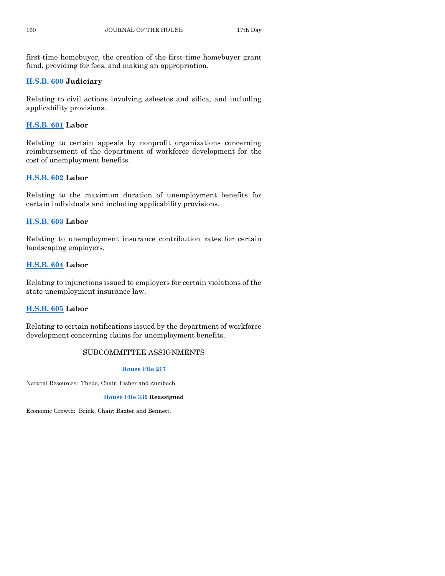first-time homebuyer, the creation of the first-time homebuyer grant fund, providing for fees, and making an appropriation.

# **[H.S.B. 600](https://www.legis.iowa.gov/legislation/BillBook?ga=88&ba=HSB600) Judiciary**

Relating to civil actions involving asbestos and silica, and including applicability provisions.

# **[H.S.B. 601](https://www.legis.iowa.gov/legislation/BillBook?ga=88&ba=HSB601) Labor**

Relating to certain appeals by nonprofit organizations concerning reimbursement of the department of workforce development for the cost of unemployment benefits.

# **[H.S.B. 602](https://www.legis.iowa.gov/legislation/BillBook?ga=88&ba=HSB602) Labor**

Relating to the maximum duration of unemployment benefits for certain individuals and including applicability provisions.

# **[H.S.B. 603](https://www.legis.iowa.gov/legislation/BillBook?ga=88&ba=HSB603) Labor**

Relating to unemployment insurance contribution rates for certain landscaping employers.

# **[H.S.B. 604](https://www.legis.iowa.gov/legislation/BillBook?ga=88&ba=HSB604) Labor**

Relating to injunctions issued to employers for certain violations of the state unemployment insurance law.

# **[H.S.B. 605](https://www.legis.iowa.gov/legislation/BillBook?ga=88&ba=HSB605) Labor**

Relating to certain notifications issued by the department of workforce development concerning claims for unemployment benefits.

# SUBCOMMITTEE ASSIGNMENTS

#### **[House File 217](https://www.legis.iowa.gov/legislation/BillBook?ga=88&ba=HF217)**

Natural Resources: Thede, Chair; Fisher and Zumbach.

#### **[House File 330](https://www.legis.iowa.gov/legislation/BillBook?ga=88&ba=HF330) Reassigned**

Economic Growth: Brink, Chair; Baxter and Bennett.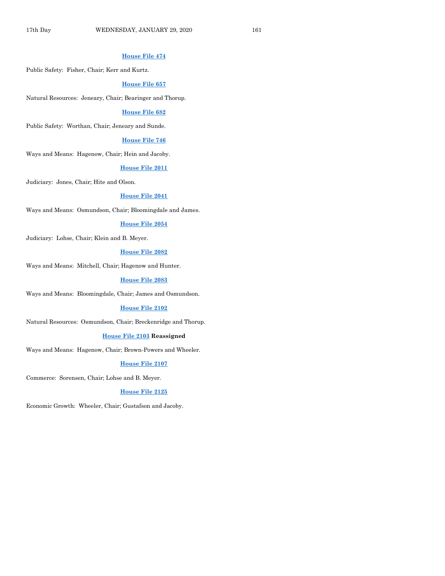## **[House File 474](https://www.legis.iowa.gov/legislation/BillBook?ga=88&ba=HF474)**

Public Safety: Fisher, Chair; Kerr and Kurtz.

#### **[House File 657](https://www.legis.iowa.gov/legislation/BillBook?ga=88&ba=HF657)**

Natural Resources: Jeneary, Chair; Bearinger and Thorup.

#### **[House File 682](https://www.legis.iowa.gov/legislation/BillBook?ga=88&ba=HF682)**

Public Safety: Worthan, Chair; Jeneary and Sunde.

#### **[House File 746](https://www.legis.iowa.gov/legislation/BillBook?ga=88&ba=HF746)**

Ways and Means: Hagenow, Chair; Hein and Jacoby.

#### **House [File 2011](https://www.legis.iowa.gov/legislation/BillBook?ga=88&ba=HF2011)**

Judiciary: Jones, Chair; Hite and Olson.

#### **[House File 2041](https://www.legis.iowa.gov/legislation/BillBook?ga=88&ba=HF2041)**

Ways and Means: Osmundson, Chair; Bloomingdale and James.

#### **[House File 2054](https://www.legis.iowa.gov/legislation/BillBook?ga=88&ba=HF2054)**

Judiciary: Lohse, Chair; Klein and B. Meyer.

# **[House File 2082](https://www.legis.iowa.gov/legislation/BillBook?ga=88&ba=HF2082)**

Ways and Means: Mitchell, Chair; Hagenow and Hunter.

#### **[House File 2083](https://www.legis.iowa.gov/legislation/BillBook?ga=88&ba=HF2083)**

Ways and Means: Bloomingdale, Chair; James and Osmundson.

#### **[House File 2102](https://www.legis.iowa.gov/legislation/BillBook?ga=88&ba=HF2102)**

Natural Resources: Osmundson, Chair; Breckenridge and Thorup.

#### **[House File 2103](https://www.legis.iowa.gov/legislation/BillBook?ga=88&ba=HF2103) Reassigned**

Ways and Means: Hagenow, Chair; Brown-Powers and Wheeler.

#### **[House File 2107](https://www.legis.iowa.gov/legislation/BillBook?ga=88&ba=HF2107)**

Commerce: Sorensen, Chair; Lohse and B. Meyer.

#### **[House File 2125](https://www.legis.iowa.gov/legislation/BillBook?ga=88&ba=HF2125)**

Economic Growth: Wheeler, Chair; Gustafson and Jacoby.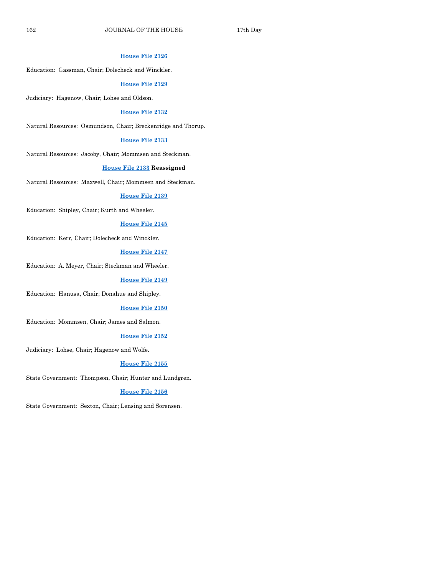#### **[House File 2126](https://www.legis.iowa.gov/legislation/BillBook?ga=88&ba=HF2126)**

Education: Gassman, Chair; Dolecheck and Winckler.

#### **[House File 2129](https://www.legis.iowa.gov/legislation/BillBook?ga=88&ba=HF2129)**

Judiciary: Hagenow, Chair; Lohse and Oldson.

#### **[House File 2132](https://www.legis.iowa.gov/legislation/BillBook?ga=88&ba=HF2132)**

Natural Resources: Osmundson, Chair; Breckenridge and Thorup.

#### **[House File 2133](https://www.legis.iowa.gov/legislation/BillBook?ga=88&ba=HF2133)**

Natural Resources: Jacoby, Chair; Mommsen and Steckman.

#### **[House File 2133](https://www.legis.iowa.gov/legislation/BillBook?ga=88&ba=HF2133) Reassigned**

Natural Resources: Maxwell, Chair; Mommsen and Steckman.

#### **[House File 2139](https://www.legis.iowa.gov/legislation/BillBook?ga=88&ba=HF2139)**

Education: Shipley, Chair; Kurth and Wheeler.

# **[House File 2145](https://www.legis.iowa.gov/legislation/BillBook?ga=88&ba=HF2145)**

Education: Kerr, Chair; Dolecheck and Winckler.

#### **[House File 2147](https://www.legis.iowa.gov/legislation/BillBook?ga=88&ba=HF2147)**

Education: A. Meyer, Chair; Steckman and Wheeler.

#### **[House File 2149](https://www.legis.iowa.gov/legislation/BillBook?ga=88&ba=HF2149)**

Education: Hanusa, Chair; Donahue and Shipley.

#### **[House File 2150](https://www.legis.iowa.gov/legislation/BillBook?ga=88&ba=HF2150)**

Education: Mommsen, Chair; James and Salmon.

#### **[House File 2152](https://www.legis.iowa.gov/legislation/BillBook?ga=88&ba=HF2152)**

Judiciary: Lohse, Chair; Hagenow and Wolfe.

#### **[House File 2155](https://www.legis.iowa.gov/legislation/BillBook?ga=88&ba=HF2155)**

State Government: Thompson, Chair; Hunter and Lundgren.

#### **[House File 2156](https://www.legis.iowa.gov/legislation/BillBook?ga=88&ba=HF2156)**

State Government: Sexton, Chair; Lensing and Sorensen.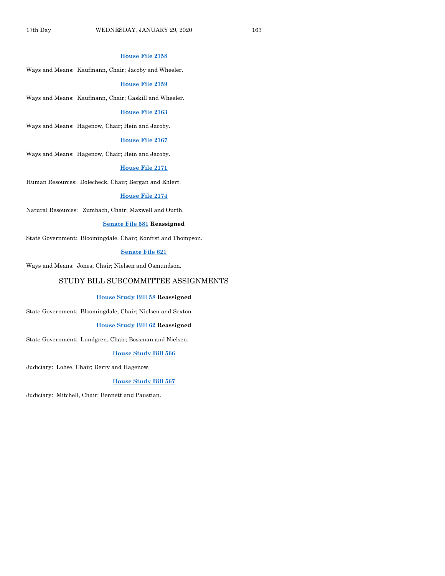# **[House File 2158](https://www.legis.iowa.gov/legislation/BillBook?ga=88&ba=HF2158)**

Ways and Means: Kaufmann, Chair; Jacoby and Wheeler.

#### **[House File 2159](https://www.legis.iowa.gov/legislation/BillBook?ga=88&ba=HF2159)**

Ways and Means: Kaufmann, Chair; Gaskill and Wheeler.

#### **[House File 2163](https://www.legis.iowa.gov/legislation/BillBook?ga=88&ba=HF2163)**

Ways and Means: Hagenow, Chair; Hein and Jacoby.

#### **[House File 2167](https://www.legis.iowa.gov/legislation/BillBook?ga=88&ba=HF2167)**

Ways and Means: Hagenow, Chair; Hein and Jacoby.

#### **[House File 2171](https://www.legis.iowa.gov/legislation/BillBook?ga=88&ba=HF2171)**

Human Resources: Dolecheck, Chair; Bergan and Ehlert.

#### **[House File 2174](https://www.legis.iowa.gov/legislation/BillBook?ga=88&ba=HF2174)**

Natural Resources: Zumbach, Chair; Maxwell and Ourth.

#### **[Senate File 581](https://www.legis.iowa.gov/legislation/BillBook?ga=88&ba=SF581) Reassigned**

State Government: Bloomingdale, Chair; Konfrst and Thompson.

#### **[Senate File 621](https://www.legis.iowa.gov/legislation/BillBook?ga=88&ba=SF621)**

Ways and Means: Jones, Chair; Nielsen and Osmundson.

# STUDY BILL SUBCOMMITTEE ASSIGNMENTS

#### **[House Study Bill 58](https://www.legis.iowa.gov/legislation/BillBook?ga=88&ba=HSB58) Reassigned**

State Government: Bloomingdale, Chair; Nielsen and Sexton.

#### **[House Study Bill 62](https://www.legis.iowa.gov/legislation/BillBook?ga=88&ba=HSB62) Reassigned**

State Government: Lundgren, Chair; Bossman and Nielsen.

#### **[House Study Bill 566](https://www.legis.iowa.gov/legislation/BillBook?ga=88&ba=HSB566)**

Judiciary: Lohse, Chair; Derry and Hagenow.

#### **[House Study Bill 567](https://www.legis.iowa.gov/legislation/BillBook?ga=88&ba=HSB567)**

Judiciary: Mitchell, Chair; Bennett and Paustian.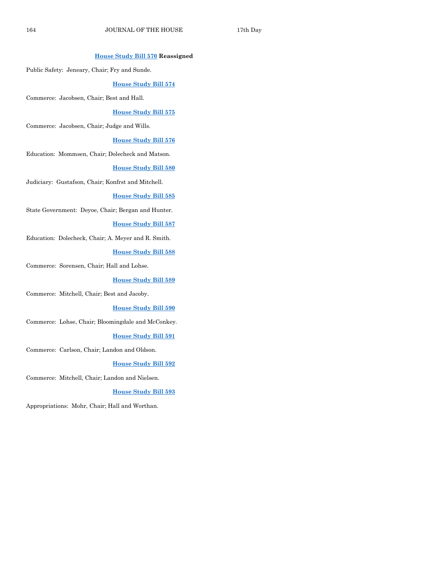# **[House Study Bill 570](https://www.legis.iowa.gov/legislation/BillBook?ga=88&ba=HSB570) Reassigned**

Public Safety: Jeneary, Chair; Fry and Sunde.

#### **[House Study Bill 574](https://www.legis.iowa.gov/legislation/BillBook?ga=88&ba=HSB574)**

Commerce: Jacobsen, Chair; Best and Hall.

#### **[House Study Bill 575](https://www.legis.iowa.gov/legislation/BillBook?ga=88&ba=HSB575)**

Commerce: Jacobsen, Chair; Judge and Wills.

## **[House Study Bill 576](https://www.legis.iowa.gov/legislation/BillBook?ga=88&ba=HSB576)**

Education: Mommsen, Chair; Dolecheck and Matson.

# **[House Study Bill 580](https://www.legis.iowa.gov/legislation/BillBook?ga=88&ba=HSB580)**

Judiciary: Gustafson, Chair; Konfrst and Mitchell.

#### **[House Study Bill 585](https://www.legis.iowa.gov/legislation/BillBook?ga=88&ba=HSB585)**

State Government: Deyoe, Chair; Bergan and Hunter.

#### **[House Study Bill 587](https://www.legis.iowa.gov/legislation/BillBook?ga=88&ba=HSB587)**

Education: Dolecheck, Chair; A. Meyer and R. Smith.

#### **[House Study Bill 588](https://www.legis.iowa.gov/legislation/BillBook?ga=88&ba=HSB588)**

Commerce: Sorensen, Chair; Hall and Lohse.

#### **[House Study Bill 589](https://www.legis.iowa.gov/legislation/BillBook?ga=88&ba=HSB589)**

Commerce: Mitchell, Chair; Best and Jacoby.

#### **[House Study Bill 590](https://www.legis.iowa.gov/legislation/BillBook?ga=88&ba=HSB590)**

Commerce: Lohse, Chair; Bloomingdale and McConkey.

#### **[House Study Bill 591](https://www.legis.iowa.gov/legislation/BillBook?ga=88&ba=HSB591)**

Commerce: Carlson, Chair; Landon and Oldson.

#### **[House Study Bill 592](https://www.legis.iowa.gov/legislation/BillBook?ga=88&ba=HSB592)**

Commerce: Mitchell, Chair; Landon and Nielsen.

#### **[House Study Bill 593](https://www.legis.iowa.gov/legislation/BillBook?ga=88&ba=HSB593)**

Appropriations: Mohr, Chair; Hall and Worthan.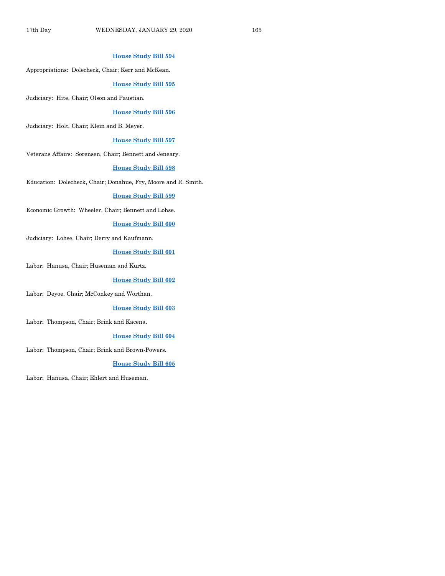## **[House Study Bill 594](https://www.legis.iowa.gov/legislation/BillBook?ga=88&ba=HSB594)**

Appropriations: Dolecheck, Chair; Kerr and McKean.

#### **[House Study Bill 595](https://www.legis.iowa.gov/legislation/BillBook?ga=88&ba=HSB595)**

Judiciary: Hite, Chair; Olson and Paustian.

#### **[House Study Bill 596](https://www.legis.iowa.gov/legislation/BillBook?ga=88&ba=HSB596)**

Judiciary: Holt, Chair; Klein and B. Meyer.

#### **[House Study Bill 597](https://www.legis.iowa.gov/legislation/BillBook?ga=88&ba=HSB597)**

Veterans Affairs: Sorensen, Chair; Bennett and Jeneary.

#### **[House Study Bill 598](https://www.legis.iowa.gov/legislation/BillBook?ga=88&ba=HSB598)**

Education: Dolecheck, Chair; Donahue, Fry, Moore and R. Smith.

#### **[House Study Bill 599](https://www.legis.iowa.gov/legislation/BillBook?ga=88&ba=HSB599)**

Economic Growth: Wheeler, Chair; Bennett and Lohse.

#### **[House Study Bill 600](https://www.legis.iowa.gov/legislation/BillBook?ga=88&ba=HSB600)**

Judiciary: Lohse, Chair; Derry and Kaufmann.

#### **[House Study Bill 601](https://www.legis.iowa.gov/legislation/BillBook?ga=88&ba=HSB601)**

Labor: Hanusa, Chair; Huseman and Kurtz.

#### **[House Study Bill 602](https://www.legis.iowa.gov/legislation/BillBook?ga=88&ba=HSB602)**

Labor: Deyoe, Chair; McConkey and Worthan.

#### **[House Study Bill 603](https://www.legis.iowa.gov/legislation/BillBook?ga=88&ba=HSB603)**

Labor: Thompson, Chair; Brink and Kacena.

#### **[House Study Bill 604](https://www.legis.iowa.gov/legislation/BillBook?ga=88&ba=HSB604)**

Labor: Thompson, Chair; Brink and Brown-Powers.

#### **[House Study Bill 605](https://www.legis.iowa.gov/legislation/BillBook?ga=88&ba=HSB605)**

Labor: Hanusa, Chair; Ehlert and Huseman.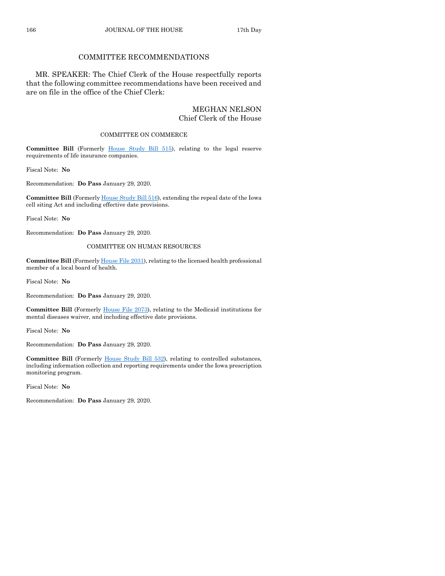# COMMITTEE RECOMMENDATIONS

MR. SPEAKER: The Chief Clerk of the House respectfully reports that the following committee recommendations have been received and are on file in the office of the Chief Clerk:

# MEGHAN NELSON Chief Clerk of the House

#### COMMITTEE ON COMMERCE

**Committee Bill** (Formerly [House Study Bill 515\)](https://www.legis.iowa.gov/legislation/BillBook?ga=88&ba=HSB515), relating to the legal reserve requirements of life insurance companies.

Fiscal Note: **No**

Recommendation: **Do Pass** January 29, 2020.

**Committee Bill** (Formerl[y House Study Bill 516\)](https://www.legis.iowa.gov/legislation/BillBook?ga=88&ba=HSB516), extending the repeal date of the Iowa cell siting Act and including effective date provisions.

Fiscal Note: **No**

Recommendation: **Do Pass** January 29, 2020.

#### COMMITTEE ON HUMAN RESOURCES

**Committee Bill** (Formerl[y House File 2031\)](https://www.legis.iowa.gov/legislation/BillBook?ga=88&ba=HF2031), relating to the licensed health professional member of a local board of health.

Fiscal Note: **No**

Recommendation: **Do Pass** January 29, 2020.

**Committee Bill** (Formerly [House File 2073\)](https://www.legis.iowa.gov/legislation/BillBook?ga=88&ba=HF2073), relating to the Medicaid institutions for mental diseases waiver, and including effective date provisions.

Fiscal Note: **No**

Recommendation: **Do Pass** January 29, 2020.

**Committee Bill** (Formerly [House Study Bill 532\)](https://www.legis.iowa.gov/legislation/BillBook?ga=88&ba=HSB532), relating to controlled substances, including information collection and reporting requirements under the Iowa prescription monitoring program.

Fiscal Note: **No**

Recommendation: **Do Pass** January 29, 2020.